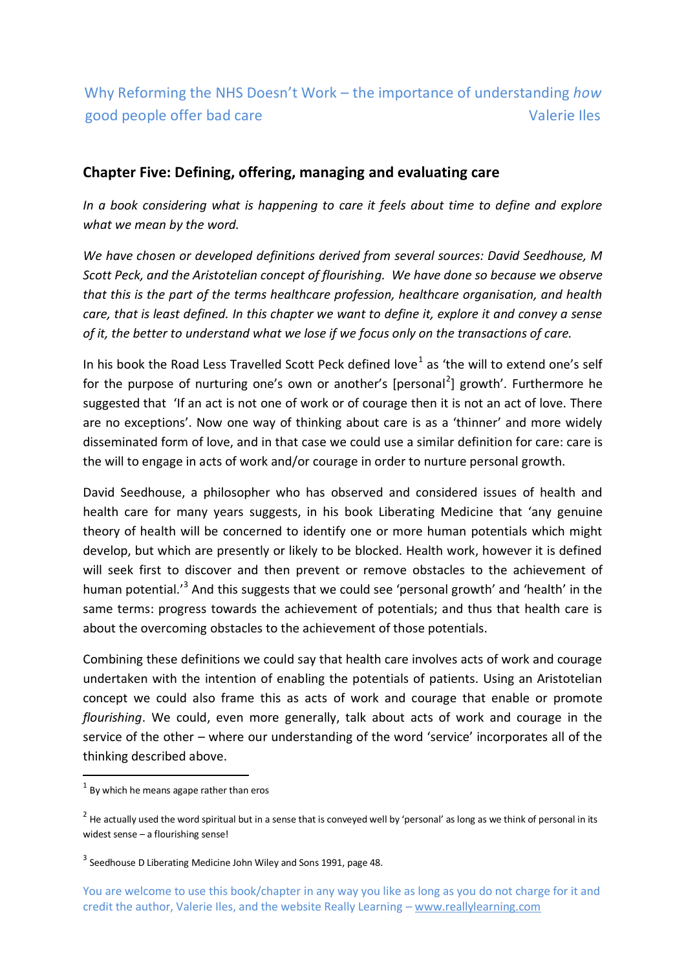# Why Reforming the NHS Doesn't Work – the importance of understanding *how* good people offer bad care Valerie Iles

## **Chapter Five: Defining, offering, managing and evaluating care**

*In a book considering what is happening to care it feels about time to define and explore what we mean by the word.*

*We have chosen or developed definitions derived from several sources: David Seedhouse, M Scott Peck, and the Aristotelian concept of flourishing. We have done so because we observe that this is the part of the terms healthcare profession, healthcare organisation, and health care, that is least defined. In this chapter we want to define it, explore it and convey a sense of it, the better to understand what we lose if we focus only on the transactions of care.* 

In his book the Road Less Travelled Scott Peck defined love $^1$  as 'the will to extend one's self for the purpose of nurturing one's own or another's [personal<sup>2</sup>] growth'. Furthermore he suggested that 'If an act is not one of work or of courage then it is not an act of love. There are no exceptions'. Now one way of thinking about care is as a 'thinner' and more widely disseminated form of love, and in that case we could use a similar definition for care: care is the will to engage in acts of work and/or courage in order to nurture personal growth.

David Seedhouse, a philosopher who has observed and considered issues of health and health care for many years suggests, in his book Liberating Medicine that 'any genuine theory of health will be concerned to identify one or more human potentials which might develop, but which are presently or likely to be blocked. Health work, however it is defined will seek first to discover and then prevent or remove obstacles to the achievement of human potential.<sup>'3</sup> And this suggests that we could see 'personal growth' and 'health' in the same terms: progress towards the achievement of potentials; and thus that health care is about the overcoming obstacles to the achievement of those potentials.

Combining these definitions we could say that health care involves acts of work and courage undertaken with the intention of enabling the potentials of patients. Using an Aristotelian concept we could also frame this as acts of work and courage that enable or promote *flourishing*. We could, even more generally, talk about acts of work and courage in the service of the other – where our understanding of the word 'service' incorporates all of the thinking described above.

-

 $<sup>1</sup>$  By which he means agape rather than eros</sup>

 $^2$  He actually used the word spiritual but in a sense that is conveyed well by 'personal' as long as we think of personal in its widest sense – a flourishing sense!

 $3$  Seedhouse D Liberating Medicine John Wiley and Sons 1991, page 48.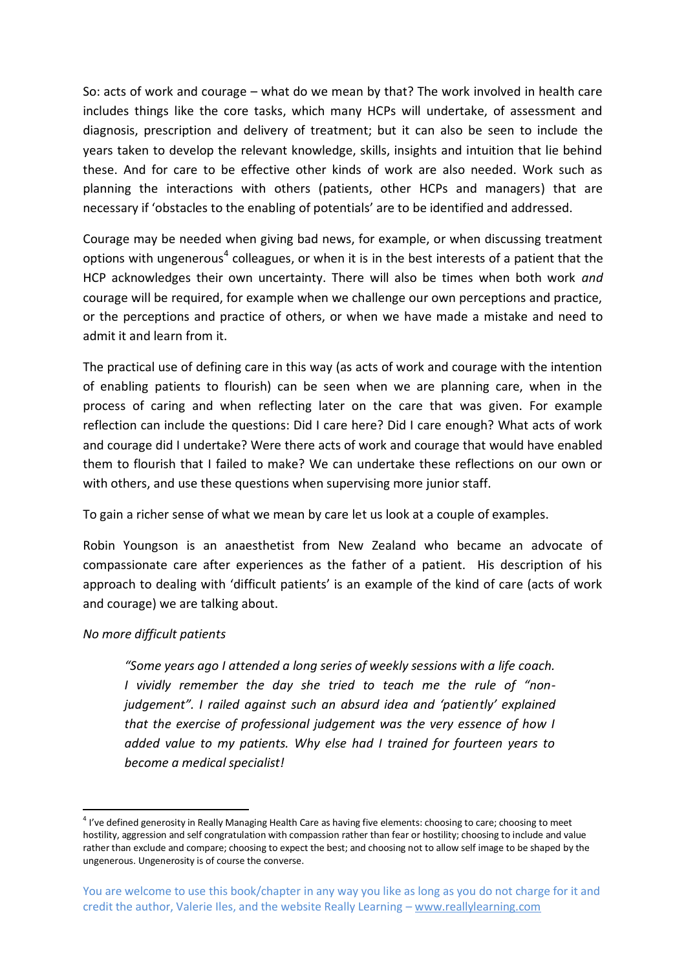So: acts of work and courage – what do we mean by that? The work involved in health care includes things like the core tasks, which many HCPs will undertake, of assessment and diagnosis, prescription and delivery of treatment; but it can also be seen to include the years taken to develop the relevant knowledge, skills, insights and intuition that lie behind these. And for care to be effective other kinds of work are also needed. Work such as planning the interactions with others (patients, other HCPs and managers) that are necessary if 'obstacles to the enabling of potentials' are to be identified and addressed.

Courage may be needed when giving bad news, for example, or when discussing treatment options with ungenerous<sup>4</sup> colleagues, or when it is in the best interests of a patient that the HCP acknowledges their own uncertainty. There will also be times when both work *and* courage will be required, for example when we challenge our own perceptions and practice, or the perceptions and practice of others, or when we have made a mistake and need to admit it and learn from it.

The practical use of defining care in this way (as acts of work and courage with the intention of enabling patients to flourish) can be seen when we are planning care, when in the process of caring and when reflecting later on the care that was given. For example reflection can include the questions: Did I care here? Did I care enough? What acts of work and courage did I undertake? Were there acts of work and courage that would have enabled them to flourish that I failed to make? We can undertake these reflections on our own or with others, and use these questions when supervising more junior staff.

To gain a richer sense of what we mean by care let us look at a couple of examples.

Robin Youngson is an anaesthetist from New Zealand who became an advocate of compassionate care after experiences as the father of a patient. His description of his approach to dealing with 'difficult patients' is an example of the kind of care (acts of work and courage) we are talking about.

#### *No more difficult patients*

**.** 

*"Some years ago I attended a long series of weekly sessions with a life coach. I vividly remember the day she tried to teach me the rule of "nonjudgement". I railed against such an absurd idea and 'patiently' explained that the exercise of professional judgement was the very essence of how I added value to my patients. Why else had I trained for fourteen years to become a medical specialist!*

<sup>&</sup>lt;sup>4</sup> I've defined generosity in Really Managing Health Care as having five elements: choosing to care; choosing to meet hostility, aggression and self congratulation with compassion rather than fear or hostility; choosing to include and value rather than exclude and compare; choosing to expect the best; and choosing not to allow self image to be shaped by the ungenerous. Ungenerosity is of course the converse.

You are welcome to use this book/chapter in any way you like as long as you do not charge for it and credit the author, Valerie Iles, and the website Really Learning – www.reallylearning.com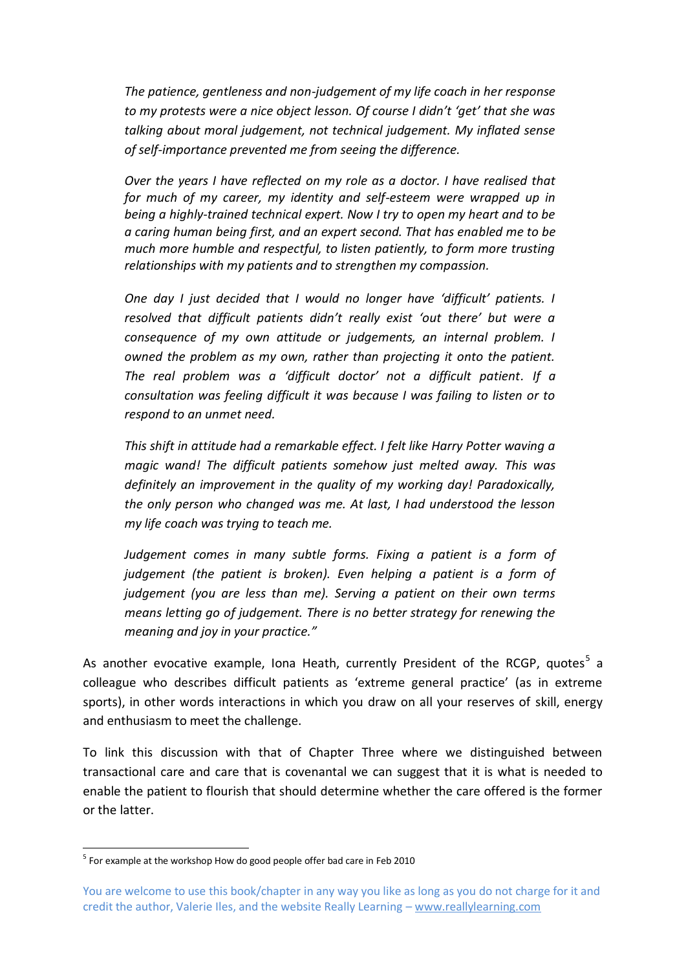*The patience, gentleness and non-judgement of my life coach in her response to my protests were a nice object lesson. Of course I didn't 'get' that she was talking about moral judgement, not technical judgement. My inflated sense of self-importance prevented me from seeing the difference.*

*Over the years I have reflected on my role as a doctor. I have realised that for much of my career, my identity and self-esteem were wrapped up in being a highly-trained technical expert. Now I try to open my heart and to be a caring human being first, and an expert second. That has enabled me to be much more humble and respectful, to listen patiently, to form more trusting relationships with my patients and to strengthen my compassion.*

*One day I just decided that I would no longer have 'difficult' patients. I resolved that difficult patients didn't really exist 'out there' but were a consequence of my own attitude or judgements, an internal problem. I owned the problem as my own, rather than projecting it onto the patient. The real problem was a 'difficult doctor' not a difficult patient. If a consultation was feeling difficult it was because I was failing to listen or to respond to an unmet need.*

*This shift in attitude had a remarkable effect. I felt like Harry Potter waving a magic wand! The difficult patients somehow just melted away. This was definitely an improvement in the quality of my working day! Paradoxically, the only person who changed was me. At last, I had understood the lesson my life coach was trying to teach me.*

*Judgement comes in many subtle forms. Fixing a patient is a form of judgement (the patient is broken). Even helping a patient is a form of judgement (you are less than me). Serving a patient on their own terms means letting go of judgement. There is no better strategy for renewing the meaning and joy in your practice."*

As another evocative example, Iona Heath, currently President of the RCGP, quotes<sup>5</sup> a colleague who describes difficult patients as 'extreme general practice' (as in extreme sports), in other words interactions in which you draw on all your reserves of skill, energy and enthusiasm to meet the challenge.

To link this discussion with that of Chapter Three where we distinguished between transactional care and care that is covenantal we can suggest that it is what is needed to enable the patient to flourish that should determine whether the care offered is the former or the latter.

 5 For example at the workshop How do good people offer bad care in Feb 2010

You are welcome to use this book/chapter in any way you like as long as you do not charge for it and credit the author, Valerie Iles, and the website Really Learning – www.reallylearning.com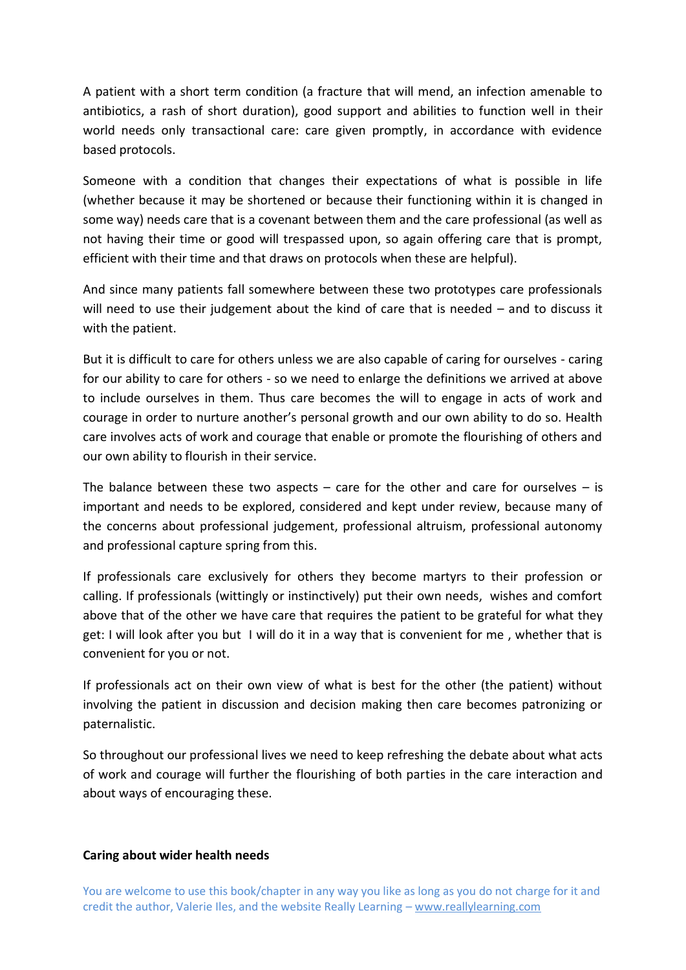A patient with a short term condition (a fracture that will mend, an infection amenable to antibiotics, a rash of short duration), good support and abilities to function well in their world needs only transactional care: care given promptly, in accordance with evidence based protocols.

Someone with a condition that changes their expectations of what is possible in life (whether because it may be shortened or because their functioning within it is changed in some way) needs care that is a covenant between them and the care professional (as well as not having their time or good will trespassed upon, so again offering care that is prompt, efficient with their time and that draws on protocols when these are helpful).

And since many patients fall somewhere between these two prototypes care professionals will need to use their judgement about the kind of care that is needed – and to discuss it with the patient.

But it is difficult to care for others unless we are also capable of caring for ourselves - caring for our ability to care for others - so we need to enlarge the definitions we arrived at above to include ourselves in them. Thus care becomes the will to engage in acts of work and courage in order to nurture another's personal growth and our own ability to do so. Health care involves acts of work and courage that enable or promote the flourishing of others and our own ability to flourish in their service.

The balance between these two aspects  $-$  care for the other and care for ourselves  $-$  is important and needs to be explored, considered and kept under review, because many of the concerns about professional judgement, professional altruism, professional autonomy and professional capture spring from this.

If professionals care exclusively for others they become martyrs to their profession or calling. If professionals (wittingly or instinctively) put their own needs, wishes and comfort above that of the other we have care that requires the patient to be grateful for what they get: I will look after you but I will do it in a way that is convenient for me , whether that is convenient for you or not.

If professionals act on their own view of what is best for the other (the patient) without involving the patient in discussion and decision making then care becomes patronizing or paternalistic.

So throughout our professional lives we need to keep refreshing the debate about what acts of work and courage will further the flourishing of both parties in the care interaction and about ways of encouraging these.

#### **Caring about wider health needs**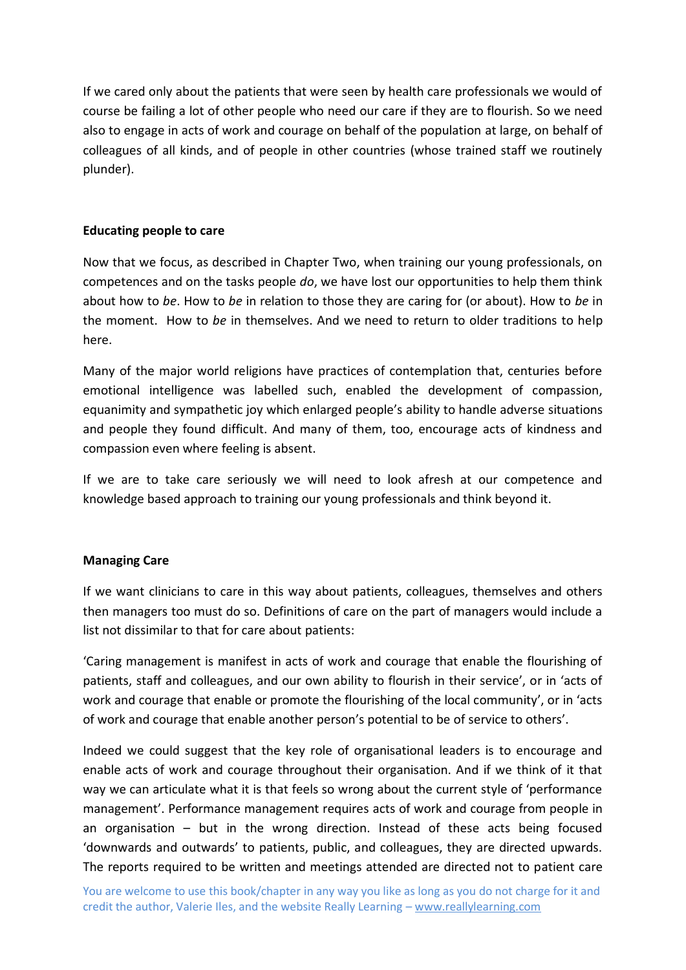If we cared only about the patients that were seen by health care professionals we would of course be failing a lot of other people who need our care if they are to flourish. So we need also to engage in acts of work and courage on behalf of the population at large, on behalf of colleagues of all kinds, and of people in other countries (whose trained staff we routinely plunder).

## **Educating people to care**

Now that we focus, as described in Chapter Two, when training our young professionals, on competences and on the tasks people *do*, we have lost our opportunities to help them think about how to *be*. How to *be* in relation to those they are caring for (or about). How to *be* in the moment. How to *be* in themselves. And we need to return to older traditions to help here.

Many of the major world religions have practices of contemplation that, centuries before emotional intelligence was labelled such, enabled the development of compassion, equanimity and sympathetic joy which enlarged people's ability to handle adverse situations and people they found difficult. And many of them, too, encourage acts of kindness and compassion even where feeling is absent.

If we are to take care seriously we will need to look afresh at our competence and knowledge based approach to training our young professionals and think beyond it.

## **Managing Care**

If we want clinicians to care in this way about patients, colleagues, themselves and others then managers too must do so. Definitions of care on the part of managers would include a list not dissimilar to that for care about patients:

'Caring management is manifest in acts of work and courage that enable the flourishing of patients, staff and colleagues, and our own ability to flourish in their service', or in 'acts of work and courage that enable or promote the flourishing of the local community', or in 'acts of work and courage that enable another person's potential to be of service to others'.

Indeed we could suggest that the key role of organisational leaders is to encourage and enable acts of work and courage throughout their organisation. And if we think of it that way we can articulate what it is that feels so wrong about the current style of 'performance management'. Performance management requires acts of work and courage from people in an organisation – but in the wrong direction. Instead of these acts being focused 'downwards and outwards' to patients, public, and colleagues, they are directed upwards. The reports required to be written and meetings attended are directed not to patient care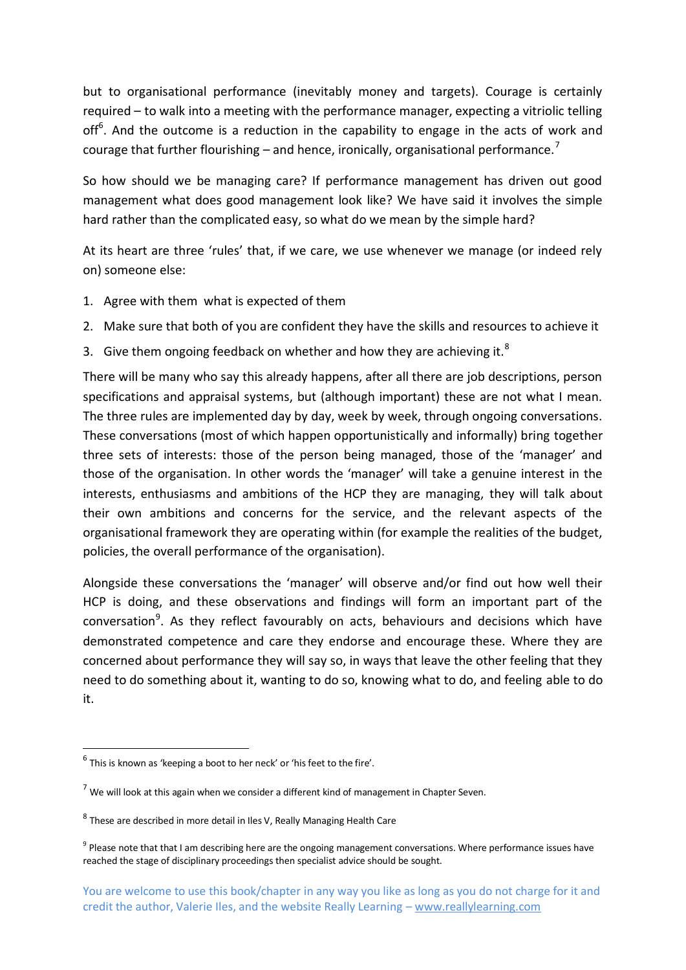but to organisational performance (inevitably money and targets). Courage is certainly required – to walk into a meeting with the performance manager, expecting a vitriolic telling off<sup>6</sup>. And the outcome is a reduction in the capability to engage in the acts of work and courage that further flourishing – and hence, ironically, organisational performance.<sup>7</sup>

So how should we be managing care? If performance management has driven out good management what does good management look like? We have said it involves the simple hard rather than the complicated easy, so what do we mean by the simple hard?

At its heart are three 'rules' that, if we care, we use whenever we manage (or indeed rely on) someone else:

- 1. Agree with them what is expected of them
- 2. Make sure that both of you are confident they have the skills and resources to achieve it
- 3. Give them ongoing feedback on whether and how they are achieving it. $8$

There will be many who say this already happens, after all there are job descriptions, person specifications and appraisal systems, but (although important) these are not what I mean. The three rules are implemented day by day, week by week, through ongoing conversations. These conversations (most of which happen opportunistically and informally) bring together three sets of interests: those of the person being managed, those of the 'manager' and those of the organisation. In other words the 'manager' will take a genuine interest in the interests, enthusiasms and ambitions of the HCP they are managing, they will talk about their own ambitions and concerns for the service, and the relevant aspects of the organisational framework they are operating within (for example the realities of the budget, policies, the overall performance of the organisation).

Alongside these conversations the 'manager' will observe and/or find out how well their HCP is doing, and these observations and findings will form an important part of the conversation<sup>9</sup>. As they reflect favourably on acts, behaviours and decisions which have demonstrated competence and care they endorse and encourage these. Where they are concerned about performance they will say so, in ways that leave the other feeling that they need to do something about it, wanting to do so, knowing what to do, and feeling able to do it.

**.** 

 $<sup>6</sup>$  This is known as 'keeping a boot to her neck' or 'his feet to the fire'.</sup>

 $<sup>7</sup>$  We will look at this again when we consider a different kind of management in Chapter Seven.</sup>

 $^8$  These are described in more detail in Iles V, Really Managing Health Care

<sup>&</sup>lt;sup>9</sup> Please note that that I am describing here are the ongoing management conversations. Where performance issues have reached the stage of disciplinary proceedings then specialist advice should be sought.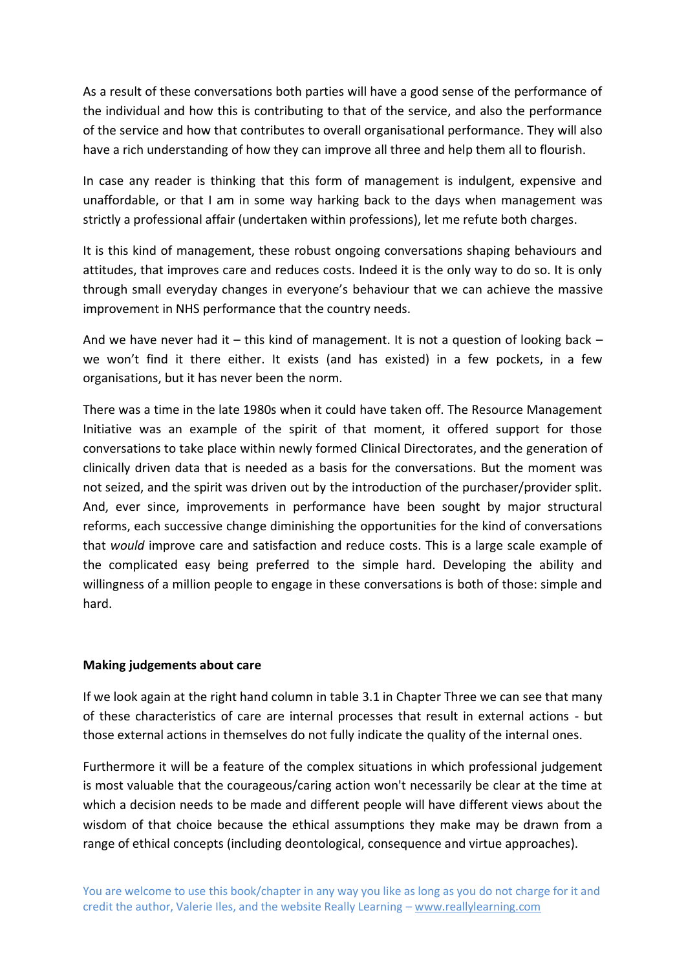As a result of these conversations both parties will have a good sense of the performance of the individual and how this is contributing to that of the service, and also the performance of the service and how that contributes to overall organisational performance. They will also have a rich understanding of how they can improve all three and help them all to flourish.

In case any reader is thinking that this form of management is indulgent, expensive and unaffordable, or that I am in some way harking back to the days when management was strictly a professional affair (undertaken within professions), let me refute both charges.

It is this kind of management, these robust ongoing conversations shaping behaviours and attitudes, that improves care and reduces costs. Indeed it is the only way to do so. It is only through small everyday changes in everyone's behaviour that we can achieve the massive improvement in NHS performance that the country needs.

And we have never had it – this kind of management. It is not a question of looking back – we won't find it there either. It exists (and has existed) in a few pockets, in a few organisations, but it has never been the norm.

There was a time in the late 1980s when it could have taken off. The Resource Management Initiative was an example of the spirit of that moment, it offered support for those conversations to take place within newly formed Clinical Directorates, and the generation of clinically driven data that is needed as a basis for the conversations. But the moment was not seized, and the spirit was driven out by the introduction of the purchaser/provider split. And, ever since, improvements in performance have been sought by major structural reforms, each successive change diminishing the opportunities for the kind of conversations that *would* improve care and satisfaction and reduce costs. This is a large scale example of the complicated easy being preferred to the simple hard. Developing the ability and willingness of a million people to engage in these conversations is both of those: simple and hard.

## **Making judgements about care**

If we look again at the right hand column in table 3.1 in Chapter Three we can see that many of these characteristics of care are internal processes that result in external actions - but those external actions in themselves do not fully indicate the quality of the internal ones.

Furthermore it will be a feature of the complex situations in which professional judgement is most valuable that the courageous/caring action won't necessarily be clear at the time at which a decision needs to be made and different people will have different views about the wisdom of that choice because the ethical assumptions they make may be drawn from a range of ethical concepts (including deontological, consequence and virtue approaches).